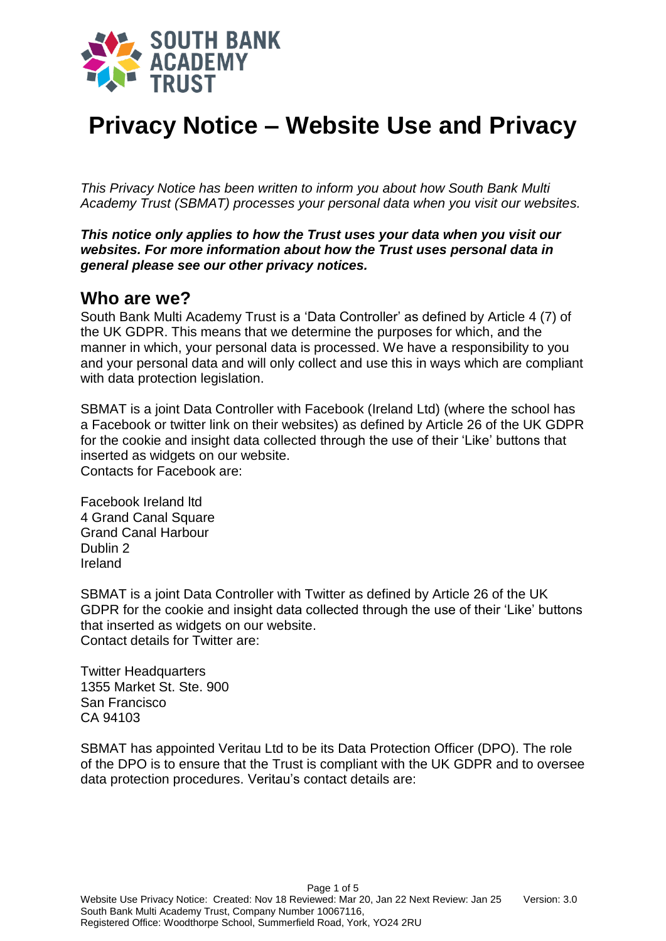

# **Privacy Notice – Website Use and Privacy**

*This Privacy Notice has been written to inform you about how South Bank Multi Academy Trust (SBMAT) processes your personal data when you visit our websites.*

*This notice only applies to how the Trust uses your data when you visit our websites. For more information about how the Trust uses personal data in general please see our other privacy notices.*

#### **Who are we?**

South Bank Multi Academy Trust is a 'Data Controller' as defined by Article 4 (7) of the UK GDPR. This means that we determine the purposes for which, and the manner in which, your personal data is processed. We have a responsibility to you and your personal data and will only collect and use this in ways which are compliant with data protection legislation.

SBMAT is a joint Data Controller with Facebook (Ireland Ltd) (where the school has a Facebook or twitter link on their websites) as defined by Article 26 of the UK GDPR for the cookie and insight data collected through the use of their 'Like' buttons that inserted as widgets on our website. Contacts for Facebook are:

Facebook Ireland ltd 4 Grand Canal Square Grand Canal Harbour Dublin 2 Ireland

SBMAT is a joint Data Controller with Twitter as defined by Article 26 of the UK GDPR for the cookie and insight data collected through the use of their 'Like' buttons that inserted as widgets on our website. Contact details for Twitter are:

**Twitter Headquarters** 1355 Market St. Ste. 900 San Francisco CA 94103

SBMAT has appointed Veritau Ltd to be its Data Protection Officer (DPO). The role of the DPO is to ensure that the Trust is compliant with the UK GDPR and to oversee data protection procedures. Veritau's contact details are: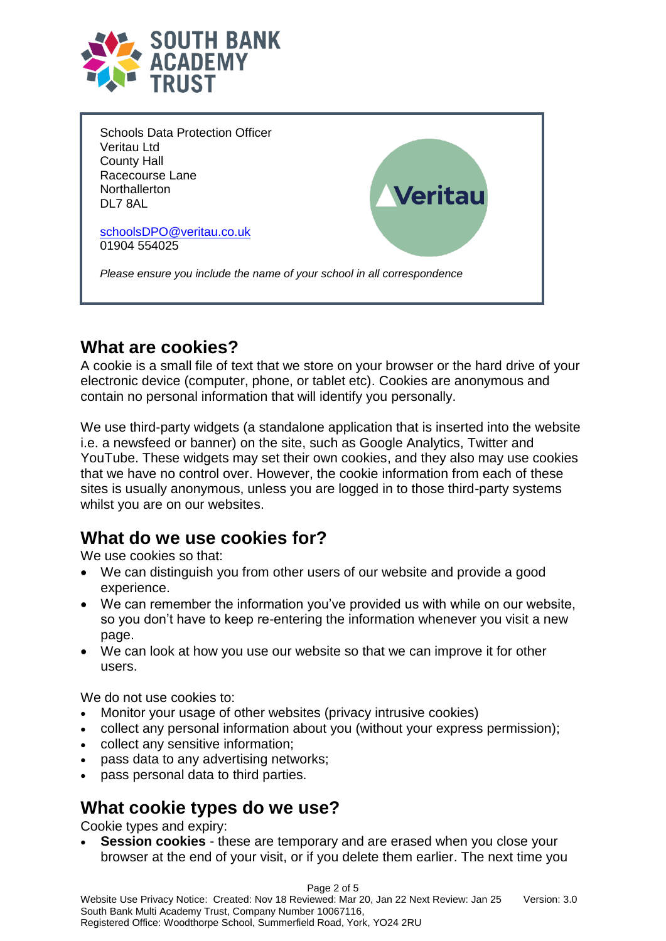

Schools Data Protection Officer Veritau Ltd County Hall Racecourse Lane **Northallerton** *l*eritau DL7 8AL [schoolsDPO@veritau.co.uk](mailto:schoolsDPO@veritau.co.uk) 01904 554025 *Please ensure you include the name of your school in all correspondence*

## **What are cookies?**

A cookie is a small file of text that we store on your browser or the hard drive of your electronic device (computer, phone, or tablet etc). Cookies are anonymous and contain no personal information that will identify you personally.

We use third-party widgets (a standalone application that is inserted into the website i.e. a newsfeed or banner) on the site, such as Google Analytics, Twitter and YouTube. These widgets may set their own cookies, and they also may use cookies that we have no control over. However, the cookie information from each of these sites is usually anonymous, unless you are logged in to those third-party systems whilst you are on our websites.

## **What do we use cookies for?**

We use cookies so that:

- We can distinguish you from other users of our website and provide a good experience.
- We can remember the information you've provided us with while on our website, so you don't have to keep re-entering the information whenever you visit a new page.
- We can look at how you use our website so that we can improve it for other users.

We do not use cookies to:

- Monitor your usage of other websites (privacy intrusive cookies)
- collect any personal information about you (without your express permission);
- collect any sensitive information;
- pass data to any advertising networks;
- pass personal data to third parties.

## **What cookie types do we use?**

Cookie types and expiry:

 **Session cookies** - these are temporary and are erased when you close your browser at the end of your visit, or if you delete them earlier. The next time you

Page 2 of 5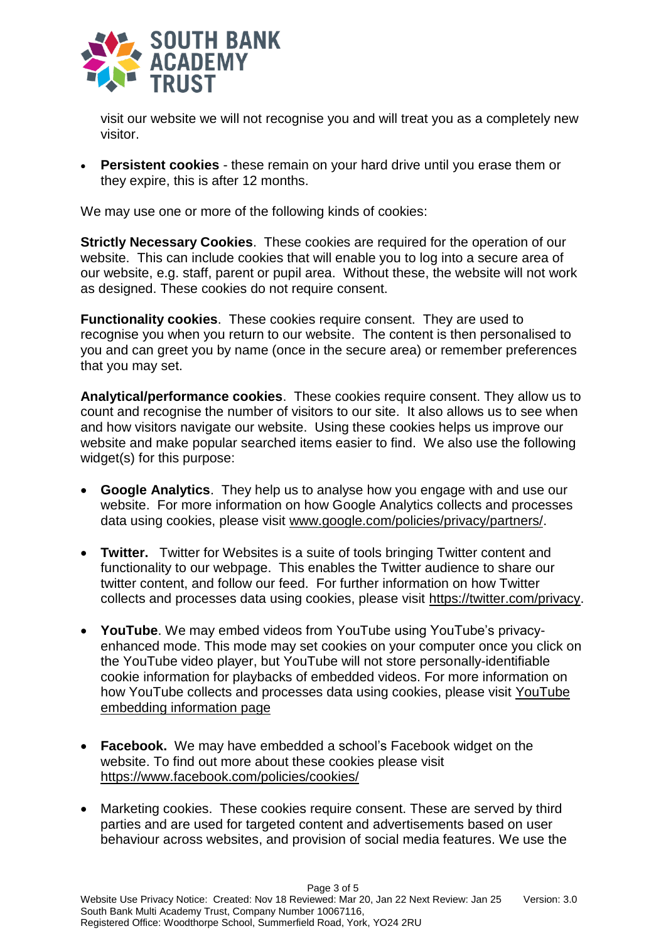

visit our website we will not recognise you and will treat you as a completely new visitor.

 **Persistent cookies** - these remain on your hard drive until you erase them or they expire, this is after 12 months.

We may use one or more of the following kinds of cookies:

**Strictly Necessary Cookies**. These cookies are required for the operation of our website. This can include cookies that will enable you to log into a secure area of our website, e.g. staff, parent or pupil area. Without these, the website will not work as designed. These cookies do not require consent.

**Functionality cookies**. These cookies require consent. They are used to recognise you when you return to our website. The content is then personalised to you and can greet you by name (once in the secure area) or remember preferences that you may set.

**Analytical/performance cookies**. These cookies require consent. They allow us to count and recognise the number of visitors to our site. It also allows us to see when and how visitors navigate our website. Using these cookies helps us improve our website and make popular searched items easier to find. We also use the following widget(s) for this purpose:

- **Google Analytics**. They help us to analyse how you engage with and use our website. For more information on how Google Analytics collects and processes data using cookies, please visit [www.google.com/policies/privacy/partners/.](https://policies.google.com/technologies/partner-sites?hl=en-GB&gl=uk)
- **Twitter.** Twitter for Websites is a suite of tools bringing Twitter content and functionality to our webpage. This enables the Twitter audience to share our twitter content, and follow our feed. For further information on how Twitter collects and processes data using cookies, please visit [https://twitter.com/privacy.](https://twitter.com/privacy)
- **YouTube**. We may embed videos from YouTube using YouTube's privacyenhanced mode. This mode may set cookies on your computer once you click on the YouTube video player, but YouTube will not store personally-identifiable cookie information for playbacks of embedded videos. For more information on how YouTube collects and processes data using cookies, please visit [YouTube](http://www.google.com/support/youtube/bin/answer.py?hl=en-GB&answer=171780)  [embedding information page](http://www.google.com/support/youtube/bin/answer.py?hl=en-GB&answer=171780)
- **Facebook.** We may have embedded a school's Facebook widget on the website. To find out more about these cookies please visit <https://www.facebook.com/policies/cookies/>
- Marketing cookies. These cookies require consent. These are served by third parties and are used for targeted content and advertisements based on user behaviour across websites, and provision of social media features. We use the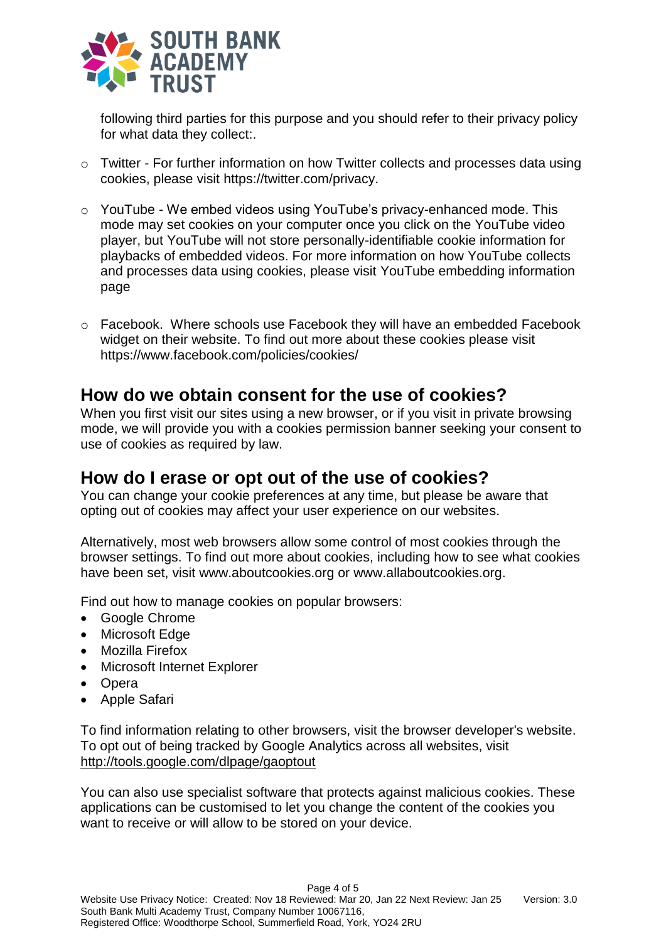

following third parties for this purpose and you should refer to their privacy policy for what data they collect:.

- o Twitter For further information on how Twitter collects and processes data using cookies, please visit [https://twitter.com/privacy.](https://twitter.com/privacy)
- o YouTube We embed videos using YouTube's privacy-enhanced mode. This mode may set cookies on your computer once you click on the YouTube video player, but YouTube will not store personally-identifiable cookie information for playbacks of embedded videos. For more information on how YouTube collects and processes data using cookies, please visit [YouTube embedding information](http://www.google.com/support/youtube/bin/answer.py?hl=en-GB&answer=171780)  [page](http://www.google.com/support/youtube/bin/answer.py?hl=en-GB&answer=171780)
- o Facebook. Where schools use Facebook they will have an embedded Facebook widget on their website. To find out more about these cookies please visit <https://www.facebook.com/policies/cookies/>

#### **How do we obtain consent for the use of cookies?**

When you first visit our sites using a new browser, or if you visit in private browsing mode, we will provide you with a cookies permission banner seeking your consent to use of cookies as required by law.

#### **How do I erase or opt out of the use of cookies?**

You can change your cookie preferences at any time, but please be aware that opting out of cookies may affect your user experience on our websites.

Alternatively, most web browsers allow some control of most cookies through the browser settings. To find out more about cookies, including how to see what cookies have been set, visit [www.aboutcookies.org](http://www.aboutcookies.org/) or [www.allaboutcookies.org.](http://www.allaboutcookies.org/)

Find out how to manage cookies on popular browsers:

- [Google Chrome](https://support.google.com/accounts/answer/61416?co=GENIE.Platform%3DDesktop&hl=en)
- [Microsoft Edge](https://privacy.microsoft.com/en-us/windows-10-microsoft-edge-and-privacy)
- [Mozilla Firefox](https://support.mozilla.org/en-US/kb/enable-and-disable-cookies-website-preferences)
- [Microsoft Internet Explorer](https://support.microsoft.com/en-gb/help/17442/windows-internet-explorer-delete-manage-cookies)
- [Opera](https://www.opera.com/help/tutorials/security/privacy/)
- [Apple Safari](https://support.apple.com/en-gb/safari)

To find information relating to other browsers, visit the browser developer's website. To opt out of being tracked by Google Analytics across all websites, visit <http://tools.google.com/dlpage/gaoptout>

You can also use specialist software that protects against malicious cookies. These applications can be customised to let you change the content of the cookies you want to receive or will allow to be stored on your device.